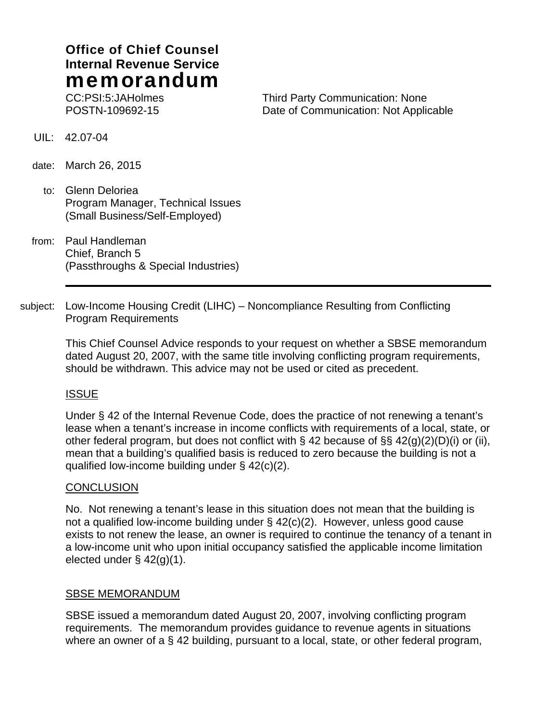# **Office of Chief Counsel Internal Revenue Service**  memorandum

CC:PSI:5:JAHolmes POSTN-109692-15

Third Party Communication: None Date of Communication: Not Applicable

- UIL: 42.07-04
- date: March 26, 2015
	- to: Glenn Deloriea Program Manager, Technical Issues (Small Business/Self-Employed)
- from: Paul Handleman Chief, Branch 5 (Passthroughs & Special Industries)
- subject: Low-Income Housing Credit (LIHC) Noncompliance Resulting from Conflicting Program Requirements

This Chief Counsel Advice responds to your request on whether a SBSE memorandum dated August 20, 2007, with the same title involving conflicting program requirements, should be withdrawn. This advice may not be used or cited as precedent.

## ISSUE

Under § 42 of the Internal Revenue Code, does the practice of not renewing a tenant's lease when a tenant's increase in income conflicts with requirements of a local, state, or other federal program, but does not conflict with § 42 because of §§ 42(g)(2)(D)(i) or (ii), mean that a building's qualified basis is reduced to zero because the building is not a qualified low-income building under § 42(c)(2).

## **CONCLUSION**

No. Not renewing a tenant's lease in this situation does not mean that the building is not a qualified low-income building under § 42(c)(2). However, unless good cause exists to not renew the lease, an owner is required to continue the tenancy of a tenant in a low-income unit who upon initial occupancy satisfied the applicable income limitation elected under  $\S$  42(g)(1).

#### SBSE MEMORANDUM

SBSE issued a memorandum dated August 20, 2007, involving conflicting program requirements. The memorandum provides guidance to revenue agents in situations where an owner of a § 42 building, pursuant to a local, state, or other federal program,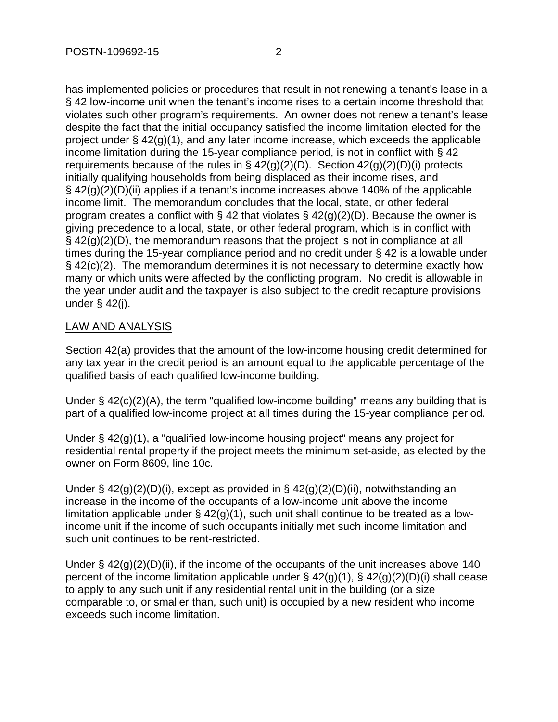has implemented policies or procedures that result in not renewing a tenant's lease in a § 42 low-income unit when the tenant's income rises to a certain income threshold that violates such other program's requirements. An owner does not renew a tenant's lease despite the fact that the initial occupancy satisfied the income limitation elected for the project under § 42(g)(1), and any later income increase, which exceeds the applicable income limitation during the 15-year compliance period, is not in conflict with § 42 requirements because of the rules in  $\S$  42(g)(2)(D). Section 42(g)(2)(D)(i) protects initially qualifying households from being displaced as their income rises, and § 42(g)(2)(D)(ii) applies if a tenant's income increases above 140% of the applicable income limit. The memorandum concludes that the local, state, or other federal program creates a conflict with § 42 that violates §  $42(g)(2)(D)$ . Because the owner is giving precedence to a local, state, or other federal program, which is in conflict with § 42(g)(2)(D), the memorandum reasons that the project is not in compliance at all times during the 15-year compliance period and no credit under § 42 is allowable under § 42(c)(2). The memorandum determines it is not necessary to determine exactly how many or which units were affected by the conflicting program. No credit is allowable in the year under audit and the taxpayer is also subject to the credit recapture provisions under § 42(j).

#### LAW AND ANALYSIS

Section 42(a) provides that the amount of the low-income housing credit determined for any tax year in the credit period is an amount equal to the applicable percentage of the qualified basis of each qualified low-income building.

Under § 42(c)(2)(A), the term "qualified low-income building" means any building that is part of a qualified low-income project at all times during the 15-year compliance period.

Under § 42(g)(1), a "qualified low-income housing project" means any project for residential rental property if the project meets the minimum set-aside, as elected by the owner on Form 8609, line 10c.

Under  $\S$  42(g)(2)(D)(i), except as provided in  $\S$  42(g)(2)(D)(ii), notwithstanding an increase in the income of the occupants of a low-income unit above the income limitation applicable under  $\S$  42(g)(1), such unit shall continue to be treated as a lowincome unit if the income of such occupants initially met such income limitation and such unit continues to be rent-restricted.

Under  $\S$  42(g)(2)(D)(ii), if the income of the occupants of the unit increases above 140 percent of the income limitation applicable under  $\S$  42(g)(1),  $\S$  42(g)(2)(D)(i) shall cease to apply to any such unit if any residential rental unit in the building (or a size comparable to, or smaller than, such unit) is occupied by a new resident who income exceeds such income limitation.